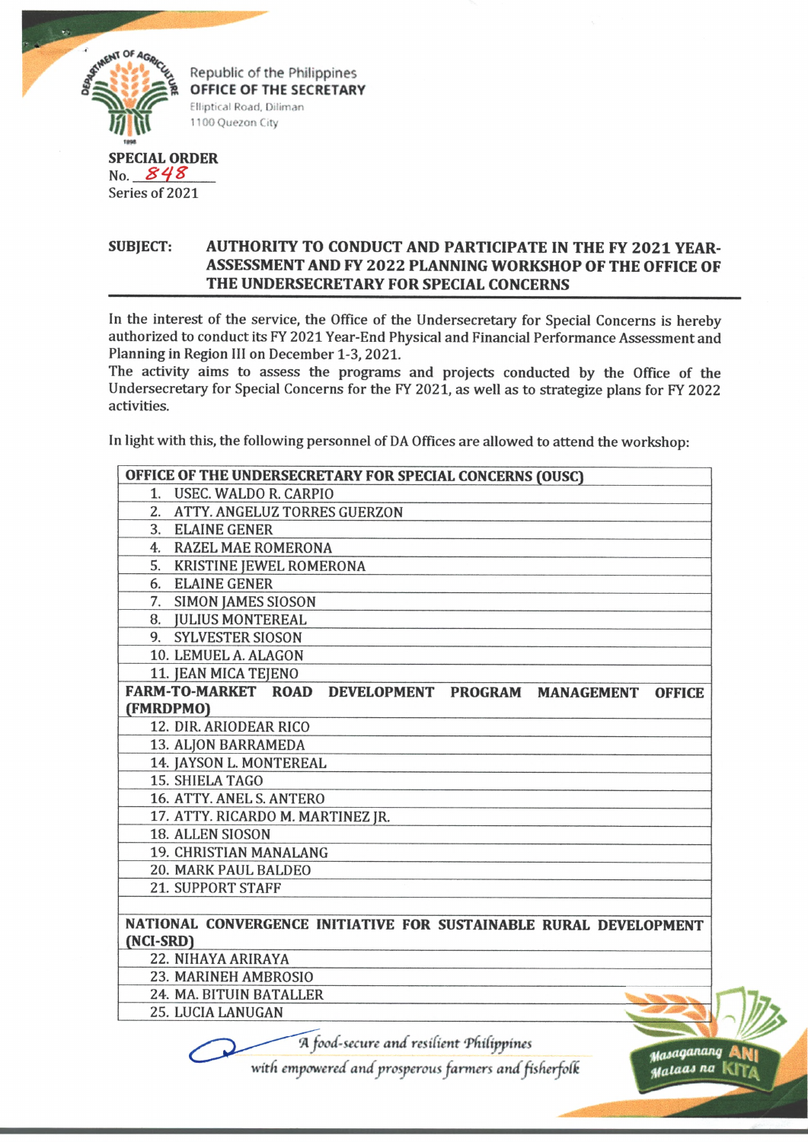

Republic of the Philippines **OFFICE OF THE SECRETARY** Elliptical Road, Dlliman 1100 Quezon City

## **SPECIAL ORDER** No. *S 4 %*

Series of 2021

## **SUBJECT: AUTHORITY TO CONDUCT AND PARTICIPATE IN THE FY 2021 YEAR-ASSESSMENT AND FY 2022 PLANNING WORKSHOP OF THE OFFICE OF THE UNDERSECRETARY FOR SPECIAL CONCERNS**

In the interest of the service, the Office of the Undersecretary for Special Concerns is hereby authorized to conduct its FY 2021 Year-End Physical and Financial Performance Assessment and Planning in Region III on December 1-3, 2021.

The activity aims to assess the programs and projects conducted by the Office of the Undersecretary for Special Concerns for the FY 2021, as well as to strategize plans for FY 2022 activities.

In light with this, the following personnel of DA Offices are allowed to attend the workshop:

| OFFICE OF THE UNDERSECRETARY FOR SPECIAL CONCERNS (OUSC)            |
|---------------------------------------------------------------------|
| 1. USEC. WALDO R. CARPIO                                            |
| 2. ATTY. ANGELUZ TORRES GUERZON                                     |
| 3. ELAINE GENER                                                     |
| 4. RAZEL MAE ROMERONA                                               |
| 5. KRISTINE JEWEL ROMERONA                                          |
| 6. ELAINE GENER                                                     |
| 7. SIMON JAMES SIOSON                                               |
| 8. JULIUS MONTEREAL                                                 |
| 9. SYLVESTER SIOSON                                                 |
| 10. LEMUEL A. ALAGON                                                |
| 11. JEAN MICA TEJENO                                                |
| FARM-TO-MARKET ROAD DEVELOPMENT PROGRAM MANAGEMENT<br><b>OFFICE</b> |
| (FMRDPMO)                                                           |
| 12. DIR. ARIODEAR RICO                                              |
| 13. ALJON BARRAMEDA                                                 |
| 14. JAYSON L. MONTEREAL                                             |
| 15. SHIELA TAGO                                                     |
| 16. ATTY. ANEL S. ANTERO                                            |
| 17. ATTY. RICARDO M. MARTINEZ JR.                                   |
| 18. ALLEN SIOSON                                                    |
| 19. CHRISTIAN MANALANG                                              |
| 20. MARK PAUL BALDEO                                                |
| <b>21. SUPPORT STAFF</b>                                            |
|                                                                     |
| NATIONAL CONVERGENCE INITIATIVE FOR SUSTAINABLE RURAL DEVELOPMENT   |
| (NCI-SRD)                                                           |
| 22. NIHAYA ARIRAYA                                                  |
| 23. MARINEH AMBROSIO                                                |
| 24. MA. BITUIN BATALLER                                             |
| 25. LUCIA LANUGAN                                                   |
| A food-secure and resilient Philippines                             |

*with empowered and prosperous farmers andfisfierfoli*

*yataqananq* A H |

stalaas na